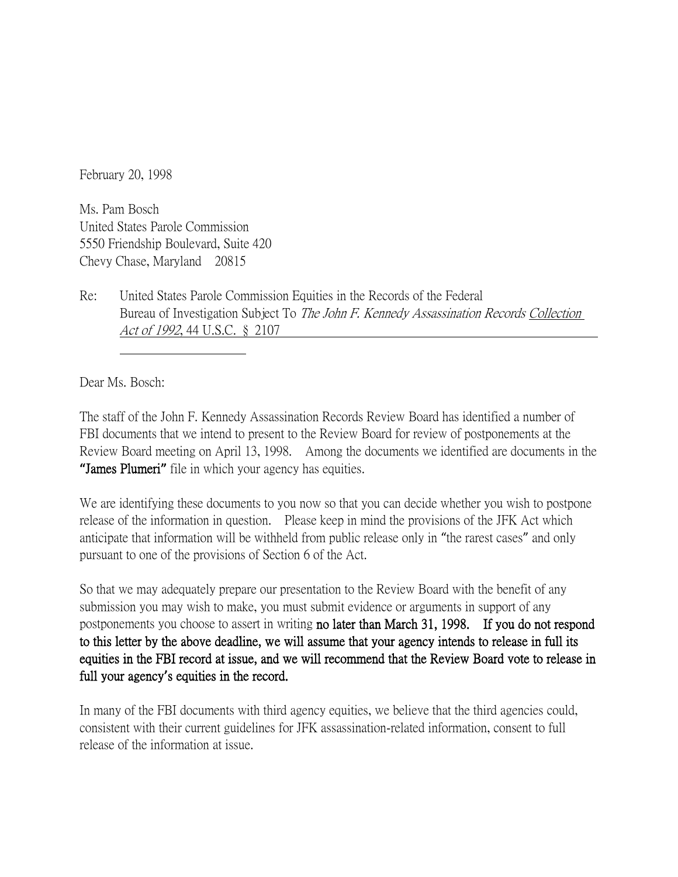February 20, 1998

Ms. Pam Bosch United States Parole Commission 5550 Friendship Boulevard, Suite 420 Chevy Chase, Maryland 20815

Re: United States Parole Commission Equities in the Records of the Federal Bureau of Investigation Subject To The John F. Kennedy Assassination Records Collection Act of 1992, 44 U.S.C. § 2107

Dear Ms. Bosch:

The staff of the John F. Kennedy Assassination Records Review Board has identified a number of FBI documents that we intend to present to the Review Board for review of postponements at the Review Board meeting on April 13, 1998. Among the documents we identified are documents in the **"**James Plumeri**"** file in which your agency has equities.

We are identifying these documents to you now so that you can decide whether you wish to postpone release of the information in question. Please keep in mind the provisions of the JFK Act which anticipate that information will be withheld from public release only in "the rarest cases" and only pursuant to one of the provisions of Section 6 of the Act.

So that we may adequately prepare our presentation to the Review Board with the benefit of any submission you may wish to make, you must submit evidence or arguments in support of any postponements you choose to assert in writing no later than March 31, 1998. If you do not respond to this letter by the above deadline, we will assume that your agency intends to release in full its equities in the FBI record at issue, and we will recommend that the Review Board vote to release in full your agency**'**s equities in the record.

In many of the FBI documents with third agency equities, we believe that the third agencies could, consistent with their current guidelines for JFK assassination-related information, consent to full release of the information at issue.